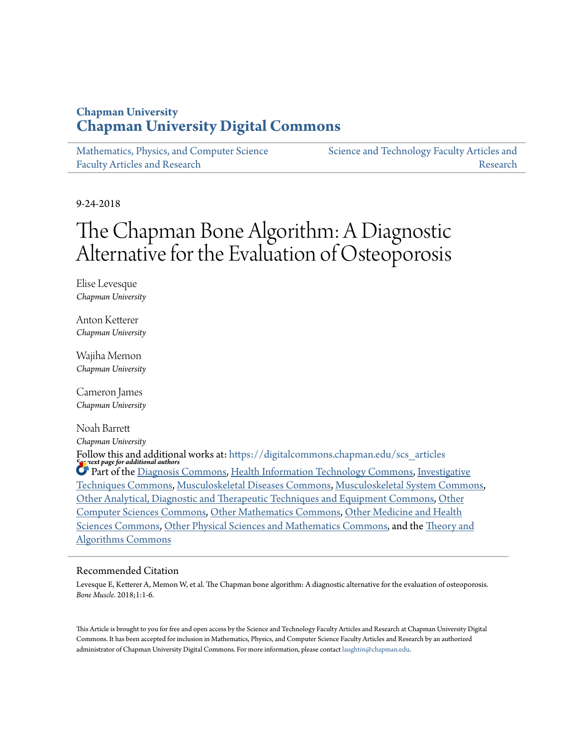## **Chapman University [Chapman University Digital Commons](https://digitalcommons.chapman.edu?utm_source=digitalcommons.chapman.edu%2Fscs_articles%2F588&utm_medium=PDF&utm_campaign=PDFCoverPages)**

[Mathematics, Physics, and Computer Science](https://digitalcommons.chapman.edu/scs_articles?utm_source=digitalcommons.chapman.edu%2Fscs_articles%2F588&utm_medium=PDF&utm_campaign=PDFCoverPages) [Faculty Articles and Research](https://digitalcommons.chapman.edu/scs_articles?utm_source=digitalcommons.chapman.edu%2Fscs_articles%2F588&utm_medium=PDF&utm_campaign=PDFCoverPages)

[Science and Technology Faculty Articles and](https://digitalcommons.chapman.edu/science_articles?utm_source=digitalcommons.chapman.edu%2Fscs_articles%2F588&utm_medium=PDF&utm_campaign=PDFCoverPages) [Research](https://digitalcommons.chapman.edu/science_articles?utm_source=digitalcommons.chapman.edu%2Fscs_articles%2F588&utm_medium=PDF&utm_campaign=PDFCoverPages)

9-24-2018

# The Chapman Bone Algorithm: A Diagnostic Alternative for the Evaluation of Osteoporosis

Elise Levesque *Chapman University*

Anton Ketterer *Chapman University*

Wajiha Memon *Chapman University*

Cameron James *Chapman University*

Noah Barrett *Chapman University*

*See next page for additional authors* Follow this and additional works at: [https://digitalcommons.chapman.edu/scs\\_articles](https://digitalcommons.chapman.edu/scs_articles?utm_source=digitalcommons.chapman.edu%2Fscs_articles%2F588&utm_medium=PDF&utm_campaign=PDFCoverPages) Part of the [Diagnosis Commons](http://network.bepress.com/hgg/discipline/945?utm_source=digitalcommons.chapman.edu%2Fscs_articles%2F588&utm_medium=PDF&utm_campaign=PDFCoverPages), [Health Information Technology Commons](http://network.bepress.com/hgg/discipline/1239?utm_source=digitalcommons.chapman.edu%2Fscs_articles%2F588&utm_medium=PDF&utm_campaign=PDFCoverPages), [Investigative](http://network.bepress.com/hgg/discipline/922?utm_source=digitalcommons.chapman.edu%2Fscs_articles%2F588&utm_medium=PDF&utm_campaign=PDFCoverPages) [Techniques Commons,](http://network.bepress.com/hgg/discipline/922?utm_source=digitalcommons.chapman.edu%2Fscs_articles%2F588&utm_medium=PDF&utm_campaign=PDFCoverPages) [Musculoskeletal Diseases Commons](http://network.bepress.com/hgg/discipline/996?utm_source=digitalcommons.chapman.edu%2Fscs_articles%2F588&utm_medium=PDF&utm_campaign=PDFCoverPages), [Musculoskeletal System Commons](http://network.bepress.com/hgg/discipline/938?utm_source=digitalcommons.chapman.edu%2Fscs_articles%2F588&utm_medium=PDF&utm_campaign=PDFCoverPages), [Other Analytical, Diagnostic and Therapeutic Techniques and Equipment Commons,](http://network.bepress.com/hgg/discipline/994?utm_source=digitalcommons.chapman.edu%2Fscs_articles%2F588&utm_medium=PDF&utm_campaign=PDFCoverPages) [Other](http://network.bepress.com/hgg/discipline/152?utm_source=digitalcommons.chapman.edu%2Fscs_articles%2F588&utm_medium=PDF&utm_campaign=PDFCoverPages) [Computer Sciences Commons,](http://network.bepress.com/hgg/discipline/152?utm_source=digitalcommons.chapman.edu%2Fscs_articles%2F588&utm_medium=PDF&utm_campaign=PDFCoverPages) [Other Mathematics Commons](http://network.bepress.com/hgg/discipline/185?utm_source=digitalcommons.chapman.edu%2Fscs_articles%2F588&utm_medium=PDF&utm_campaign=PDFCoverPages), [Other Medicine and Health](http://network.bepress.com/hgg/discipline/772?utm_source=digitalcommons.chapman.edu%2Fscs_articles%2F588&utm_medium=PDF&utm_campaign=PDFCoverPages) [Sciences Commons,](http://network.bepress.com/hgg/discipline/772?utm_source=digitalcommons.chapman.edu%2Fscs_articles%2F588&utm_medium=PDF&utm_campaign=PDFCoverPages) [Other Physical Sciences and Mathematics Commons](http://network.bepress.com/hgg/discipline/216?utm_source=digitalcommons.chapman.edu%2Fscs_articles%2F588&utm_medium=PDF&utm_campaign=PDFCoverPages), and the [Theory and](http://network.bepress.com/hgg/discipline/151?utm_source=digitalcommons.chapman.edu%2Fscs_articles%2F588&utm_medium=PDF&utm_campaign=PDFCoverPages) [Algorithms Commons](http://network.bepress.com/hgg/discipline/151?utm_source=digitalcommons.chapman.edu%2Fscs_articles%2F588&utm_medium=PDF&utm_campaign=PDFCoverPages)

#### Recommended Citation

Levesque E, Ketterer A, Memon W, et al. The Chapman bone algorithm: A diagnostic alternative for the evaluation of osteoporosis. *Bone Muscle*. 2018;1:1-6.

This Article is brought to you for free and open access by the Science and Technology Faculty Articles and Research at Chapman University Digital Commons. It has been accepted for inclusion in Mathematics, Physics, and Computer Science Faculty Articles and Research by an authorized administrator of Chapman University Digital Commons. For more information, please contact [laughtin@chapman.edu.](mailto:laughtin@chapman.edu)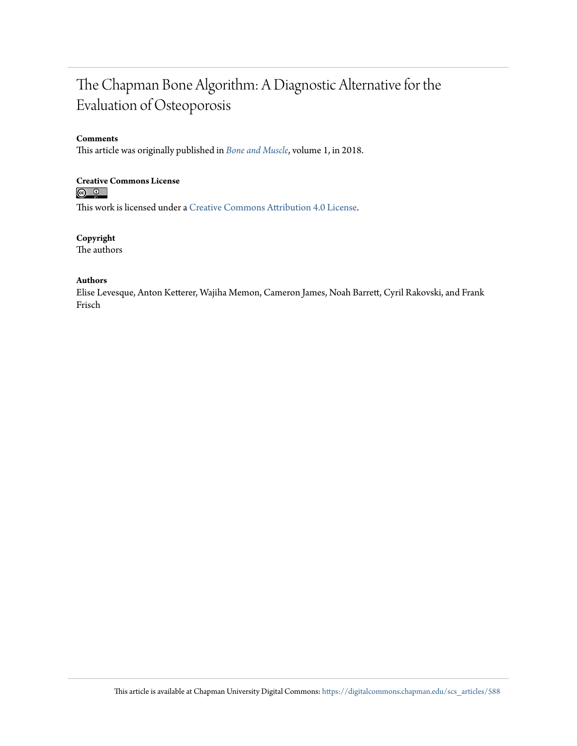## The Chapman Bone Algorithm: A Diagnostic Alternative for the Evaluation of Osteoporosis

#### **Comments**

This article was originally published in *[Bone and Muscle](http://sciaeon.org/bone-and-muscle/current-issue/abstract/103)*, volume 1, in 2018.

# **Creative Commons License**<br> **<b>a 0**<br> **a 0**

This work is licensed under a [Creative Commons Attribution 4.0 License.](https://creativecommons.org/licenses/by/4.0/)

**Copyright** The authors

#### **Authors**

Elise Levesque, Anton Ketterer, Wajiha Memon, Cameron James, Noah Barrett, Cyril Rakovski, and Frank Frisch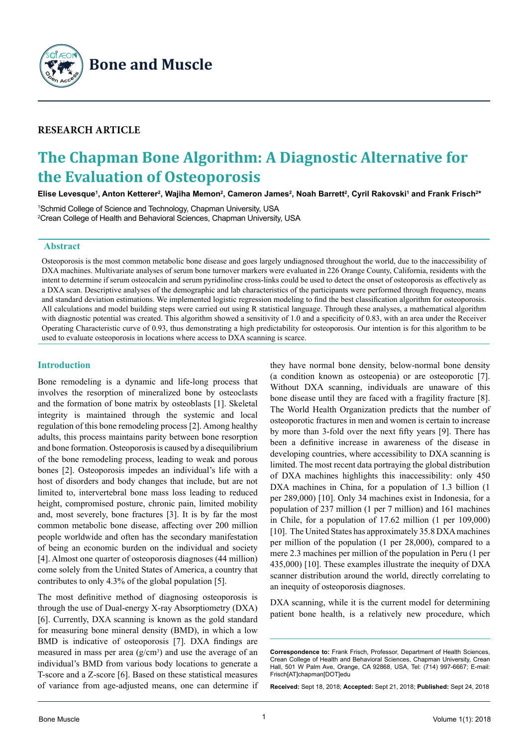

## **Research Article**

## **The Chapman Bone Algorithm: A Diagnostic Alternative for the Evaluation of Osteoporosis**

Elise Levesque', Anton Ketterer<sup>2</sup>, Wajiha Memon<sup>2</sup>, Cameron James<sup>2</sup>, Noah Barrett<sup>2</sup>, Cyril Rakovski<sup>1</sup> and Frank Frisch<sup>2</sup>\*

1 Schmid College of Science and Technology, Chapman University, USA 2 Crean College of Health and Behavioral Sciences, Chapman University, USA

#### **Abstract**

Osteoporosis is the most common metabolic bone disease and goes largely undiagnosed throughout the world, due to the inaccessibility of DXA machines. Multivariate analyses of serum bone turnover markers were evaluated in 226 Orange County, California, residents with the intent to determine if serum osteocalcin and serum pyridinoline cross-links could be used to detect the onset of osteoporosis as effectively as a DXA scan. Descriptive analyses of the demographic and lab characteristics of the participants were performed through frequency, means and standard deviation estimations. We implemented logistic regression modeling to find the best classification algorithm for osteoporosis. All calculations and model building steps were carried out using R statistical language. Through these analyses, a mathematical algorithm with diagnostic potential was created. This algorithm showed a sensitivity of 1.0 and a specificity of 0.83, with an area under the Receiver Operating Characteristic curve of 0.93, thus demonstrating a high predictability for osteoporosis. Our intention is for this algorithm to be used to evaluate osteoporosis in locations where access to DXA scanning is scarce.

#### **Introduction**

Bone remodeling is a dynamic and life-long process that involves the resorption of mineralized bone by osteoclasts and the formation of bone matrix by osteoblasts [1]. Skeletal integrity is maintained through the systemic and local regulation of this bone remodeling process [2]. Among healthy adults, this process maintains parity between bone resorption and bone formation. Osteoporosis is caused by a disequilibrium of the bone remodeling process, leading to weak and porous bones [2]. Osteoporosis impedes an individual's life with a host of disorders and body changes that include, but are not limited to, intervertebral bone mass loss leading to reduced height, compromised posture, chronic pain, limited mobility and, most severely, bone fractures [3]. It is by far the most common metabolic bone disease, affecting over 200 million people worldwide and often has the secondary manifestation of being an economic burden on the individual and society [4]. Almost one quarter of osteoporosis diagnoses (44 million) come solely from the United States of America, a country that contributes to only 4.3% of the global population [5].

The most definitive method of diagnosing osteoporosis is through the use of Dual-energy X-ray Absorptiometry (DXA) [6]. Currently, DXA scanning is known as the gold standard for measuring bone mineral density (BMD), in which a low BMD is indicative of osteoporosis [7]. DXA findings are measured in mass per area  $(g/cm<sup>3</sup>)$  and use the average of an individual's BMD from various body locations to generate a T-score and a Z-score [6]. Based on these statistical measures of variance from age-adjusted means, one can determine if

they have normal bone density, below-normal bone density (a condition known as osteopenia) or are osteoporotic [7]. Without DXA scanning, individuals are unaware of this bone disease until they are faced with a fragility fracture [8]. The World Health Organization predicts that the number of osteoporotic fractures in men and women is certain to increase by more than 3-fold over the next fifty years [9]. There has been a definitive increase in awareness of the disease in developing countries, where accessibility to DXA scanning is limited. The most recent data portraying the global distribution of DXA machines highlights this inaccessibility: only 450 DXA machines in China, for a population of 1.3 billion (1) per 289,000) [10]. Only 34 machines exist in Indonesia, for a population of 237 million (1 per 7 million) and 161 machines in Chile, for a population of 17.62 million (1 per 109,000) [10]. The United States has approximately 35.8 DXA machines per million of the population (1 per 28,000), compared to a mere 2.3 machines per million of the population in Peru (1 per 435,000) [10]. These examples illustrate the inequity of DXA scanner distribution around the world, directly correlating to an inequity of osteoporosis diagnoses.

DXA scanning, while it is the current model for determining patient bone health, is a relatively new procedure, which

**Received:** Sept 18, 2018; **Accepted:** Sept 21, 2018; **Published:** Sept 24, 2018

**Correspondence to:** Frank Frisch, Professor, Department of Health Sciences, Crean College of Health and Behavioral Sciences, Chapman University, Crean Hall, 501 W Palm Ave, Orange, CA 92868, USA, Tel: (714) 997-6667; E-mail: Frisch[AT]chapman[DOT]edu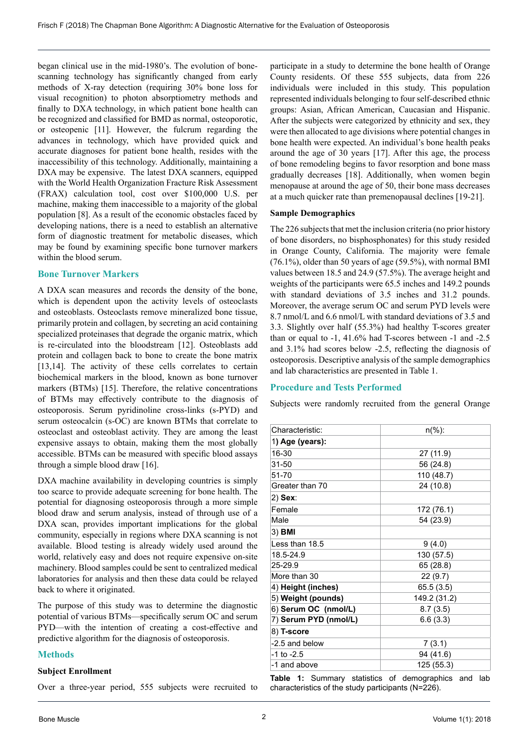began clinical use in the mid-1980's. The evolution of bonescanning technology has significantly changed from early methods of X-ray detection (requiring 30% bone loss for visual recognition) to photon absorptiometry methods and finally to DXA technology, in which patient bone health can be recognized and classified for BMD as normal, osteoporotic, or osteopenic [11]. However, the fulcrum regarding the advances in technology, which have provided quick and accurate diagnoses for patient bone health, resides with the inaccessibility of this technology. Additionally, maintaining a DXA may be expensive. The latest DXA scanners, equipped with the World Health Organization Fracture Risk Assessment (FRAX) calculation tool, cost over \$100,000 U.S. per machine, making them inaccessible to a majority of the global population [8]. As a result of the economic obstacles faced by developing nations, there is a need to establish an alternative form of diagnostic treatment for metabolic diseases, which may be found by examining specific bone turnover markers within the blood serum.

#### **Bone Turnover Markers**

A DXA scan measures and records the density of the bone, which is dependent upon the activity levels of osteoclasts and osteoblasts. Osteoclasts remove mineralized bone tissue, primarily protein and collagen, by secreting an acid containing specialized proteinases that degrade the organic matrix, which is re-circulated into the bloodstream [12]. Osteoblasts add protein and collagen back to bone to create the bone matrix [13,14]. The activity of these cells correlates to certain biochemical markers in the blood, known as bone turnover markers (BTMs) [15]. Therefore, the relative concentrations of BTMs may effectively contribute to the diagnosis of osteoporosis. Serum pyridinoline cross-links (s-PYD) and serum osteocalcin (s-OC) are known BTMs that correlate to osteoclast and osteoblast activity. They are among the least expensive assays to obtain, making them the most globally accessible. BTMs can be measured with specific blood assays through a simple blood draw [16].

DXA machine availability in developing countries is simply too scarce to provide adequate screening for bone health. The potential for diagnosing osteoporosis through a more simple blood draw and serum analysis, instead of through use of a DXA scan, provides important implications for the global community, especially in regions where DXA scanning is not available. Blood testing is already widely used around the world, relatively easy and does not require expensive on-site machinery. Blood samples could be sent to centralized medical laboratories for analysis and then these data could be relayed back to where it originated.

The purpose of this study was to determine the diagnostic potential of various BTMs—specifically serum OC and serum PYD—with the intention of creating a cost-effective and predictive algorithm for the diagnosis of osteoporosis.

#### **Methods**

#### **Subject Enrollment**

Over a three-year period, 555 subjects were recruited to

participate in a study to determine the bone health of Orange County residents. Of these 555 subjects, data from 226 individuals were included in this study. This population represented individuals belonging to four self-described ethnic groups: Asian, African American, Caucasian and Hispanic. After the subjects were categorized by ethnicity and sex, they were then allocated to age divisions where potential changes in bone health were expected. An individual's bone health peaks around the age of 30 years [17]. After this age, the process of bone remodeling begins to favor resorption and bone mass gradually decreases [18]. Additionally, when women begin menopause at around the age of 50, their bone mass decreases at a much quicker rate than premenopausal declines [19-21].

#### **Sample Demographics**

The 226 subjects that met the inclusion criteria (no prior history of bone disorders, no bisphosphonates) for this study resided in Orange County, California. The majority were female (76.1%), older than 50 years of age (59.5%), with normal BMI values between 18.5 and 24.9 (57.5%). The average height and weights of the participants were 65.5 inches and 149.2 pounds with standard deviations of 3.5 inches and 31.2 pounds. Moreover, the average serum OC and serum PYD levels were 8.7 nmol/L and 6.6 nmol/L with standard deviations of 3.5 and 3.3. Slightly over half (55.3%) had healthy T-scores greater than or equal to -1, 41.6% had T-scores between -1 and -2.5 and 3.1% had scores below -2.5, reflecting the diagnosis of osteoporosis. Descriptive analysis of the sample demographics and lab characteristics are presented in Table 1.

#### **Procedure and Tests Performed**

Subjects were randomly recruited from the general Orange

| Characteristic:         | $n(\%):$     |  |  |
|-------------------------|--------------|--|--|
| 1 <b>) Age (years):</b> |              |  |  |
| 16-30                   | 27 (11.9)    |  |  |
| 31-50                   | 56 (24.8)    |  |  |
| 51-70                   | 110 (48.7)   |  |  |
| Greater than 70         | 24 (10.8)    |  |  |
| 2) Sex:                 |              |  |  |
| Female                  | 172 (76.1)   |  |  |
| Male                    | 54 (23.9)    |  |  |
| 3) BMI                  |              |  |  |
| Less than 18.5          | 9(4.0)       |  |  |
| 18.5-24.9               | 130 (57.5)   |  |  |
| 25-29.9                 | 65 (28.8)    |  |  |
| More than 30            | 22 (9.7)     |  |  |
| 4) Height (inches)      | 65.5(3.5)    |  |  |
| 5) Weight (pounds)      | 149.2 (31.2) |  |  |
| 6) Serum OC (nmol/L)    | 8.7(3.5)     |  |  |
| 7) Serum PYD (nmol/L)   | 6.6(3.3)     |  |  |
| 8) T-score              |              |  |  |
| -2.5 and below          | 7(3.1)       |  |  |
| $-1$ to $-2.5$          | 94 (41.6)    |  |  |
| -1 and above            | 125 (55.3)   |  |  |

**Table 1:** Summary statistics of demographics and lab characteristics of the study participants (N=226).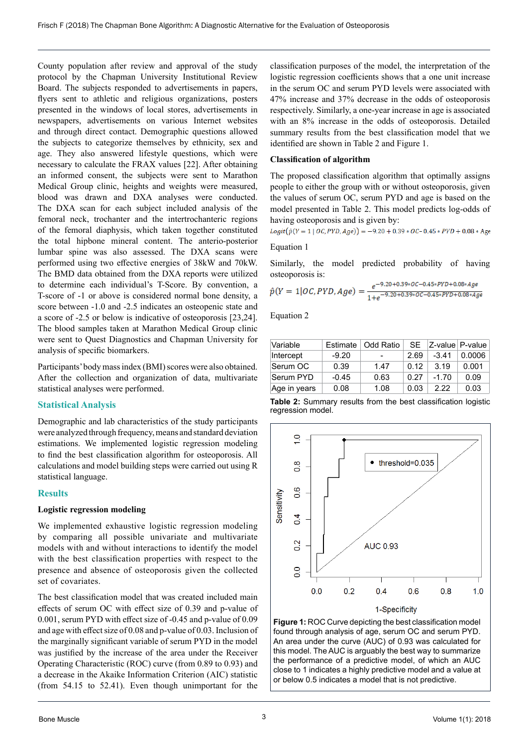County population after review and approval of the study protocol by the Chapman University Institutional Review Board. The subjects responded to advertisements in papers, flyers sent to athletic and religious organizations, posters presented in the windows of local stores, advertisements in newspapers, advertisements on various Internet websites and through direct contact. Demographic questions allowed the subjects to categorize themselves by ethnicity, sex and age. They also answered lifestyle questions, which were necessary to calculate the FRAX values [22]. After obtaining an informed consent, the subjects were sent to Marathon Medical Group clinic, heights and weights were measured, blood was drawn and DXA analyses were conducted. The DXA scan for each subject included analysis of the femoral neck, trochanter and the intertrochanteric regions of the femoral diaphysis, which taken together constituted the total hipbone mineral content. The anterio-posterior lumbar spine was also assessed. The DXA scans were performed using two effective energies of 38kW and 70kW. The BMD data obtained from the DXA reports were utilized to determine each individual's T-Score. By convention, a T-score of -1 or above is considered normal bone density, a score between -1.0 and -2.5 indicates an osteopenic state and a score of -2.5 or below is indicative of osteoporosis [23,24]. The blood samples taken at Marathon Medical Group clinic were sent to Quest Diagnostics and Chapman University for analysis of specific biomarkers.

Participants' body mass index (BMI) scores were also obtained. After the collection and organization of data, multivariate statistical analyses were performed.

#### **Statistical Analysis**

Demographic and lab characteristics of the study participants were analyzed through frequency, means and standard deviation estimations. We implemented logistic regression modeling to find the best classification algorithm for osteoporosis. All calculations and model building steps were carried out using R statistical language.

### **Results**

#### **Logistic regression modeling**

We implemented exhaustive logistic regression modeling by comparing all possible univariate and multivariate models with and without interactions to identify the model with the best classification properties with respect to the presence and absence of osteoporosis given the collected set of covariates.

The best classification model that was created included main effects of serum OC with effect size of 0.39 and p-value of 0.001, serum PYD with effect size of -0.45 and p-value of 0.09 and age with effect size of 0.08 and p-value of 0.03. Inclusion of the marginally significant variable of serum PYD in the model was justified by the increase of the area under the Receiver Operating Characteristic (ROC) curve (from 0.89 to 0.93) and a decrease in the Akaike Information Criterion (AIC) statistic (from 54.15 to 52.41). Even though unimportant for the

classification purposes of the model, the interpretation of the logistic regression coefficients shows that a one unit increase in the serum OC and serum PYD levels were associated with 47% increase and 37% decrease in the odds of osteoporosis respectively. Similarly, a one-year increase in age is associated with an 8% increase in the odds of osteoporosis. Detailed summary results from the best classification model that we identified are shown in Table 2 and Figure 1.

### **Classification of algorithm**

The proposed classification algorithm that optimally assigns people to either the group with or without osteoporosis, given the values of serum OC, serum PYD and age is based on the model presented in Table 2. This model predicts log-odds of having osteoporosis and is given by:

 $Logit(\hat{p}(Y = 1 | OC, PYD, Age)) = -9.20 + 0.39 * OC - 0.45 * PYD + 0.08 * Age)$ 

#### Equation 1

Similarly, the model predicted probability of having osteoporosis is:

$$
\hat{p}(Y=1|OC, PYD, Age) = \frac{e^{-9.20 + 0.39 \times OC - 0.45 \times PYD + 0.08 \times Age}}{1 + e^{-9.20 + 0.39 \times OC - 0.45 \times PYD + 0.08 \times Age}}
$$

Equation 2

| Variable     | Estimate | Odd Ratio |      |         | $SE$ $ Z$ -value $P$ -value |
|--------------|----------|-----------|------|---------|-----------------------------|
| Intercept    | $-9.20$  |           | 2.69 | $-3.41$ | 0.0006                      |
| Serum OC     | 0.39     | 1.47      | 0.12 | 3.19    | 0.001                       |
| Serum PYD    | $-0.45$  | 0.63      | 0.27 | $-1.70$ | 0.09                        |
| Age in years | 0.08     | 1.08      | 0.03 | 2.22    | 0.03                        |





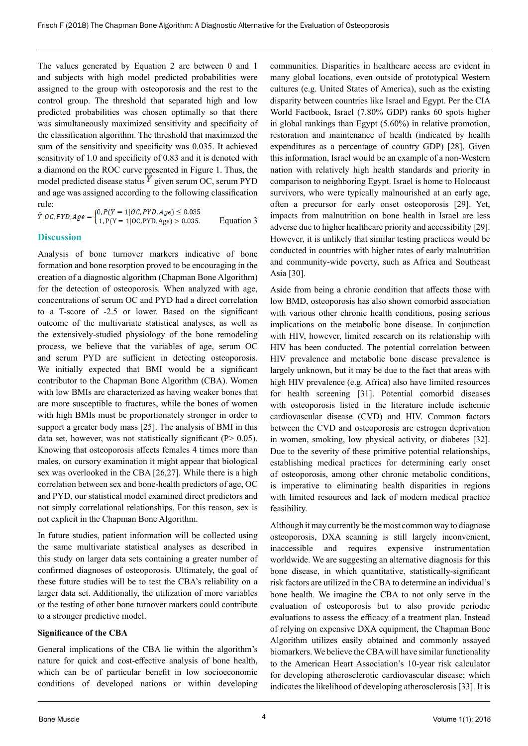The values generated by Equation 2 are between 0 and 1 and subjects with high model predicted probabilities were assigned to the group with osteoporosis and the rest to the control group. The threshold that separated high and low predicted probabilities was chosen optimally so that there was simultaneously maximized sensitivity and specificity of the classification algorithm. The threshold that maximized the sum of the sensitivity and specificity was 0.035. It achieved sensitivity of 1.0 and specificity of 0.83 and it is denoted with a diamond on the ROC curve presented in Figure 1. Thus, the model predicted disease status  $Y$  given serum OC, serum PYD and age was assigned according to the following classification

rule:<br> $\hat{Y}|OC, PYD, Age = \begin{cases} 0, P(Y = 1|OC, PYD, Age) \le 0.035, \\ 1, P(Y = 1|OC, PYD, Age) > 0.035. \end{cases}$ Equation 3

#### **Discussion**

Analysis of bone turnover markers indicative of bone formation and bone resorption proved to be encouraging in the creation of a diagnostic algorithm (Chapman Bone Algorithm) for the detection of osteoporosis. When analyzed with age, concentrations of serum OC and PYD had a direct correlation to a T-score of -2.5 or lower. Based on the significant outcome of the multivariate statistical analyses, as well as the extensively-studied physiology of the bone remodeling process, we believe that the variables of age, serum OC and serum PYD are sufficient in detecting osteoporosis. We initially expected that BMI would be a significant contributor to the Chapman Bone Algorithm (CBA). Women with low BMIs are characterized as having weaker bones that are more susceptible to fractures, while the bones of women with high BMIs must be proportionately stronger in order to support a greater body mass [25]. The analysis of BMI in this data set, however, was not statistically significant (P> 0.05). Knowing that osteoporosis affects females 4 times more than males, on cursory examination it might appear that biological sex was overlooked in the CBA [26,27]. While there is a high correlation between sex and bone-health predictors of age, OC and PYD, our statistical model examined direct predictors and not simply correlational relationships. For this reason, sex is not explicit in the Chapman Bone Algorithm.

In future studies, patient information will be collected using the same multivariate statistical analyses as described in this study on larger data sets containing a greater number of confirmed diagnoses of osteoporosis. Ultimately, the goal of these future studies will be to test the CBA's reliability on a larger data set. Additionally, the utilization of more variables or the testing of other bone turnover markers could contribute to a stronger predictive model.

#### **Significance of the CBA**

General implications of the CBA lie within the algorithm's nature for quick and cost-effective analysis of bone health, which can be of particular benefit in low socioeconomic conditions of developed nations or within developing communities. Disparities in healthcare access are evident in many global locations, even outside of prototypical Western cultures (e.g. United States of America), such as the existing disparity between countries like Israel and Egypt. Per the CIA World Factbook, Israel (7.80% GDP) ranks 60 spots higher in global rankings than Egypt (5.60%) in relative promotion, restoration and maintenance of health (indicated by health expenditures as a percentage of country GDP) [28]. Given this information, Israel would be an example of a non-Western nation with relatively high health standards and priority in comparison to neighboring Egypt. Israel is home to Holocaust survivors, who were typically malnourished at an early age, often a precursor for early onset osteoporosis [29]. Yet, impacts from malnutrition on bone health in Israel are less adverse due to higher healthcare priority and accessibility [29]. However, it is unlikely that similar testing practices would be conducted in countries with higher rates of early malnutrition and community-wide poverty, such as Africa and Southeast Asia [30].

Aside from being a chronic condition that affects those with low BMD, osteoporosis has also shown comorbid association with various other chronic health conditions, posing serious implications on the metabolic bone disease. In conjunction with HIV, however, limited research on its relationship with HIV has been conducted. The potential correlation between HIV prevalence and metabolic bone disease prevalence is largely unknown, but it may be due to the fact that areas with high HIV prevalence (e.g. Africa) also have limited resources for health screening [31]. Potential comorbid diseases with osteoporosis listed in the literature include ischemic cardiovascular disease (CVD) and HIV. Common factors between the CVD and osteoporosis are estrogen deprivation in women, smoking, low physical activity, or diabetes [32]. Due to the severity of these primitive potential relationships, establishing medical practices for determining early onset of osteoporosis, among other chronic metabolic conditions, is imperative to eliminating health disparities in regions with limited resources and lack of modern medical practice feasibility.

Although it may currently be the most common way to diagnose osteoporosis, DXA scanning is still largely inconvenient, inaccessible and requires expensive instrumentation worldwide. We are suggesting an alternative diagnosis for this bone disease, in which quantitative, statistically-significant risk factors are utilized in the CBA to determine an individual's bone health. We imagine the CBA to not only serve in the evaluation of osteoporosis but to also provide periodic evaluations to assess the efficacy of a treatment plan. Instead of relying on expensive DXA equipment, the Chapman Bone Algorithm utilizes easily obtained and commonly assayed biomarkers. We believe the CBA will have similar functionality to the American Heart Association's 10-year risk calculator for developing atherosclerotic cardiovascular disease; which indicates the likelihood of developing atherosclerosis [33]. It is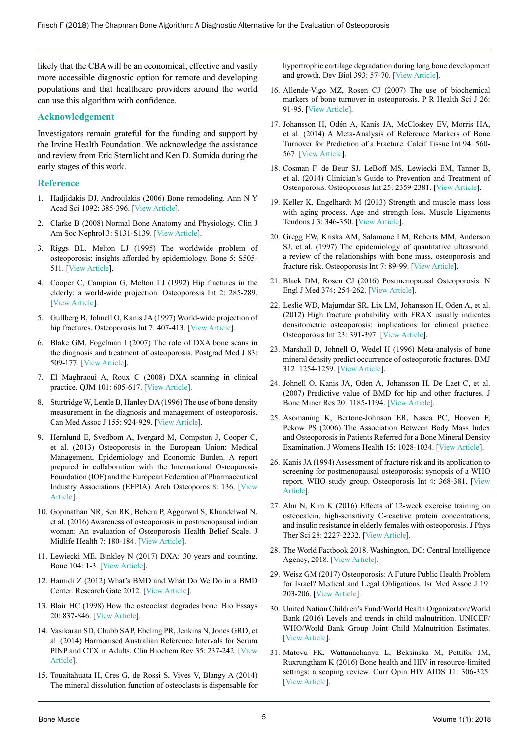likely that the CBA will be an economical, effective and vastly more accessible diagnostic option for remote and developing populations and that healthcare providers around the world can use this algorithm with confidence.

#### **Acknowledgement**

Investigators remain grateful for the funding and support by the Irvine Health Foundation. We acknowledge the assistance and review from Eric Sternlicht and Ken D. Sumida during the early stages of this work.

#### **Reference**

- 1. Hadjidakis DJ, Androulakis (2006) Bone remodeling. Ann N Y Acad Sci 1092: 385-396. [[View Article](https://www.ncbi.nlm.nih.gov/pubmed/17308163)].
- 2. Clarke B (2008) Normal Bone Anatomy and Physiology. Clin J Am Soc Nephrol 3: S131-S139. [[View Article](https://www.ncbi.nlm.nih.gov/pubmed/18988698)].
- 3. Riggs BL, Melton LJ (1995) The worldwide problem of osteoporosis: insights afforded by epidemiology. Bone 5: S505- 511. [\[View Article](https://www.ncbi.nlm.nih.gov/pubmed/18988698)].
- 4. Cooper C, Campion G, Melton LJ (1992) Hip fractures in the elderly: a world-wide projection. Osteoporosis Int 2: 285-289. [[View Article](https://www.ncbi.nlm.nih.gov/pubmed/1421796)].
- 5. Gullberg B, Johnell O, Kanis JA (1997) World-wide projection of hip fractures. Osteoporosis Int 7: 407-413. [[View Article](https://www.ncbi.nlm.nih.gov/pubmed/9425497)].
- 6. Blake GM, Fogelman I (2007) The role of DXA bone scans in the diagnosis and treatment of osteoporosis. Postgrad Med J 83: 509-177. [\[View Article](https://www.ncbi.nlm.nih.gov/pubmed/17675543)].
- 7. El Maghraoui A, Roux C (2008) DXA scanning in clinical practice. QJM 101: 605-617. [[View Article](https://www.ncbi.nlm.nih.gov/pubmed/18334497)].
- 8. Sturtridge W, Lentle B, Hanley DA (1996) The use of bone density measurement in the diagnosis and management of osteoporosis. Can Med Assoc J 155: 924-929. [\[View Article](https://europepmc.org/backend/ptpmcrender.fcgi?accid=PMC1335455&blobtype=pdf)].
- 9. Hernlund E, Svedbom A, Ivergard M, Compston J, Cooper C, et al. (2013) Osteoporosis in the European Union: Medical Management, Epidemiology and Economic Burden. A report prepared in collaboration with the International Osteoporosis Foundation (IOF) and the European Federation of Pharmaceutical Industry Associations (EFPIA). Arch Osteoporos 8: 136. [[View](https://www.ncbi.nlm.nih.gov/pubmed/24113837)  [Article\]](https://www.ncbi.nlm.nih.gov/pubmed/24113837).
- 10. Gopinathan NR, Sen RK, Behera P, Aggarwal S, Khandelwal N, et al. (2016) Awareness of osteoporosis in postmenopausal indian woman: An evaluation of Osteoporosis Health Belief Scale. J Midlife Health 7: 180-184. [[View Article](https://www.ncbi.nlm.nih.gov/pubmed/28096642)].
- 11. Lewiecki ME, Binkley N (2017) DXA: 30 years and counting. Bone 104: 1-3. [[View Article](https://www.sciencedirect.com/journal/bone/vol/104/suppl/C)].
- 12. Hamidi Z (2012) What's BMD and What Do We Do in a BMD Center. Research Gate 2012. [[View Article](https://www.researchgate.net/publication/222712547_What)].
- 13. Blair HC (1998) How the osteoclast degrades bone. Bio Essays 20: 837-846. [[View Article](https://www.ncbi.nlm.nih.gov/pubmed/9819571)].
- 14. Vasikaran SD, Chubb SAP, Ebeling PR, Jenkins N, Jones GRD, et al. (2014) Harmonised Australian Reference Intervals for Serum PINP and CTX in Adults. Clin Biochem Rev 35: 237-242. [[View](https://www.ncbi.nlm.nih.gov/pubmed/25678728)  [Article\]](https://www.ncbi.nlm.nih.gov/pubmed/25678728).
- 15. Touaitahuata H, Cres G, de Rossi S, Vives V, Blangy A (2014) The mineral dissolution function of osteoclasts is dispensable for

hypertrophic cartilage degradation during long bone development and growth. Dev Biol 393: 57-70. [[View Article](https://www.ncbi.nlm.nih.gov/pubmed/24992711)].

- 16. Allende-Vigo MZ, Rosen CJ (2007) The use of biochemical markers of bone turnover in osteoporosis. P R Health Sci J 26: 91-95. [\[View Article](https://www.ncbi.nlm.nih.gov/pubmed/17722420)].
- 17. Johansson H, Odén A, Kanis JA, McCloskey EV, Morris HA, et al. (2014) A Meta-Analysis of Reference Markers of Bone Turnover for Prediction of a Fracture. Calcif Tissue Int 94: 560- 567. [[View Article](https://www.ncbi.nlm.nih.gov/pubmed/24590144)].
- 18. Cosman F, de Beur SJ, LeBoff MS, Lewiecki EM, Tanner B, et al. (2014) Clinician's Guide to Prevention and Treatment of Osteoporosis. Osteoporosis Int 25: 2359-2381. [\[View Article](https://www.ncbi.nlm.nih.gov/pmc/articles/PMC4176573/)].
- 19. Keller K, Engelhardt M (2013) Strength and muscle mass loss with aging process. Age and strength loss. Muscle Ligaments Tendons J 3: 346-350. [\[View Article](https://www.ncbi.nlm.nih.gov/pubmed/24596700)].
- 20. Gregg EW, Kriska AM, Salamone LM, Roberts MM, Anderson SJ, et al. (1997) The epidemiology of quantitative ultrasound: a review of the relationships with bone mass, osteoporosis and fracture risk. Osteoporosis Int 7: 89-99. [\[View Article](https://www.ncbi.nlm.nih.gov/pubmed/9166387)].
- 21. Black DM, Rosen CJ (2016) Postmenopausal Osteoporosis. N Engl J Med 374: 254-262. [\[View Article](https://www.nejm.org/doi/full/10.1056/NEJMcp1513724)].
- 22. Leslie WD, Majumdar SR, Lix LM, Johansson H, Oden A, et al. (2012) High fracture probability with FRAX usually indicates densitometric osteoporosis: implications for clinical practice. Osteoporosis Int 23: 391-397. [[View Article](https://www.ncbi.nlm.nih.gov/pubmed/21365460)].
- 23. Marshall D, Johnell O, Wedel H (1996) Meta-analysis of bone mineral density predict occurrence of osteoporotic fractures. BMJ 312: 1254-1259. [[View Article](https://www.ncbi.nlm.nih.gov/pubmed/8634613)].
- 24. Johnell O, Kanis JA, Oden A, Johansson H, De Laet C, et al. (2007) Predictive value of BMD for hip and other fractures. J Bone Miner Res 20: 1185-1194. [[View Article](https://www.ncbi.nlm.nih.gov/pubmed/15940371)].
- 25. Asomaning K, Bertone-Johnson ER, Nasca PC, Hooven F, Pekow PS (2006) The Association Between Body Mass Index and Osteoporosis in Patients Referred for a Bone Mineral Density Examination. J Womens Health 15: 1028-1034. [\[View Article](https://www.ncbi.nlm.nih.gov/pubmed/17125421)].
- 26. Kanis JA (1994) Assessment of fracture risk and its application to screening for postmenopausal osteoporosis: synopsis of a WHO report. WHO study group. Osteoporosis Int 4: 368-381. [[View](https://www.ncbi.nlm.nih.gov/pubmed/7696835)  [Article\]](https://www.ncbi.nlm.nih.gov/pubmed/7696835).
- 27. Ahn N, Kim K (2016) Effects of 12-week exercise training on osteocalcin, high-sensitivity C-reactive protein concentrations, and insulin resistance in elderly females with osteoporosis. J Phys Ther Sci 28: 2227-2232. [\[View Article](https://www.ncbi.nlm.nih.gov/pubmed/27630402)].
- 28. The World Factbook 2018. Washington, DC: Central Intelligence Agency, 2018. [\[View Article](https://www.cia.gov/library/publications/the-world-factbook/geos/is.html)].
- 29. Weisz GM (2017) Osteoporosis: A Future Public Health Problem for Israel? Medical and Legal Obligations. Isr Med Assoc J 19: 203-206. [\[View Article](https://www.ncbi.nlm.nih.gov/pubmed/28480668)].
- 30. United Nation Children's Fund/World Health Organization/World Bank (2016) Levels and trends in child malnutrition. UNICEF/ WHO/World Bank Group Joint Child Malnutrition Estimates. [[View Article](http://data.unicef.org/wp-content/uploads/2016/09/UNICEF-Joint-Malnutrition-brochure.pdf)].
- 31. Matovu FK, Wattanachanya L, Beksinska M, Pettifor JM, Ruxrungtham K (2016) Bone health and HIV in resource-limited settings: a scoping review. Curr Opin HIV AIDS 11: 306-325. [[View Article](https://www.ncbi.nlm.nih.gov/pubmed/27023284)].